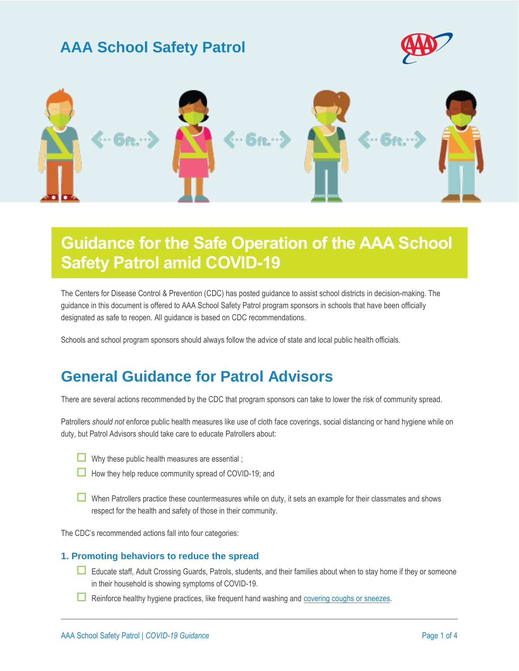### **AAA School Safety Patrol**





# **Guidance for the Safe Operation of the AAA School Safety Patrol amid COVID-19**

The Centers for Disease Control & Prevention (CDC) has posted guidance to assist school districts in decision-making. The guidance in this document is offered to AAA School Safety Patrol program sponsors in schools that have been officially designated as safe to reopen. All guidance is based on CDC recommendations.

Schools and school program sponsors should always follow the advice of state and local public health officials.

### **General Guidance for Patrol Advisors**

There are several actions recommended by the CDC that program sponsors can take to lower the risk of community spread.

Patrollers *should not* enforce public health measures like use of cloth face coverings, social distancing or hand hygiene while on duty, but Patrol Advisors should take care to educate Patrollers about:

| <b>Service Service</b> |
|------------------------|
|                        |
|                        |
|                        |
|                        |
|                        |
|                        |

- Why these public health measures are essential ;
- $\Box$  How they help reduce community spread of COVID-19; and
- When Patrollers practice these countermeasures while on duty, it sets an example for their classmates and shows respect for the health and safety of those in their community.

The CDC's recommended actions fall into four categories:

#### **1. Promoting behaviors to reduce the spread**

- Educate staff, Adult Crossing Guards, Patrols, students, and their families about when to stay home if they or someone in their household is showing symptoms of COVID-19.
- $\Box$  Reinforce healthy hygiene practices, like frequent hand washing and [covering coughs or sneezes.](https://www.cdc.gov/coronavirus/2019-ncov/downloads/stop-the-spread-of-germs.pdf)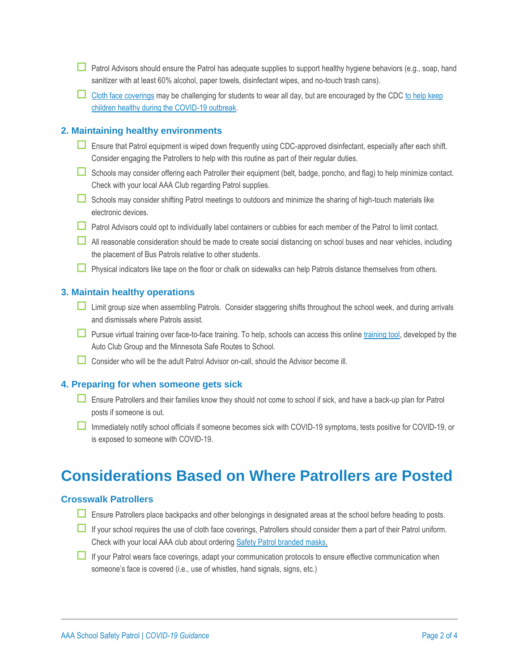- **Patrol Advisors should ensure the Patrol has adequate supplies to support healthy hygiene behaviors (e.g., soap, hand** sanitizer with at least 60% alcohol, paper towels, disinfectant wipes, and no-touch trash cans).
- $\Box$  [Cloth face coverings](https://www.cdc.gov/coronavirus/2019-ncov/prevent-getting-sick/cloth-face-cover.html) may be challenging for students to wear all day, but are encouraged by the CDC to help keep [children healthy during the COVID-19 outbreak.](https://www.cdc.gov/coronavirus/2019-ncov/daily-life-coping/children.html)

#### **2. Maintaining healthy environments**

- Ensure that Patrol equipment is wiped down frequently using CDC-approved disinfectant, especially after each shift. Consider engaging the Patrollers to help with this routine as part of their regular duties.
- Schools may consider offering each Patroller their equipment (belt, badge, poncho, and flag) to help minimize contact. Check with your local AAA Club regarding Patrol supplies.
- Schools may consider shifting Patrol meetings to outdoors and minimize the sharing of high-touch materials like electronic devices.
- Patrol Advisors could opt to individually label containers or cubbies for each member of the Patrol to limit contact.
- All reasonable consideration should be made to create social distancing on school buses and near vehicles, including the placement of Bus Patrols relative to other students.
- Physical indicators like tape on the floor or chalk on sidewalks can help Patrols distance themselves from others.

#### **3. Maintain healthy operations**

- **Limit group size when assembling Patrols. Consider staggering shifts throughout the school week, and during arrivals** and dismissals where Patrols assist.
- **Pursue virtual training over face-to-face training.** To help, schools can access this onlin[e training tool,](https://www.dot.state.mn.us/mnsaferoutes/training/student%20safety%20patrol%20training/student%20safety%20patrol.html) developed by the Auto Club Group and the Minnesota Safe Routes to School.
- Consider who will be the adult Patrol Advisor on-call, should the Advisor become ill.

#### **4. Preparing for when someone gets sick**

- Ensure Patrollers and their families know they should not come to school if sick, and have a back-up plan for Patrol posts if someone is out.
- Immediately notify school officials if someone becomes sick with COVID-19 symptoms, tests positive for COVID-19, or is exposed to someone with COVID-19.

### **Considerations Based on Where Patrollers are Posted**

#### **Crosswalk Patrollers**

- Ensure Patrollers place backpacks and other belongings in designated areas at the school before heading to posts.
- $\Box$  If your school requires the use of cloth face coverings, Patrollers should consider them a part of their Patrol uniform. Check with your local AAA club about ordering [Safety Patrol branded masks.](https://publicaffairsresources.aaa.biz/wp-content/uploads/2020/06/SSP_MASKS.jpg)
- If your Patrol wears face coverings, adapt your communication protocols to ensure effective communication when someone's face is covered (i.e., use of whistles, hand signals, signs, etc.)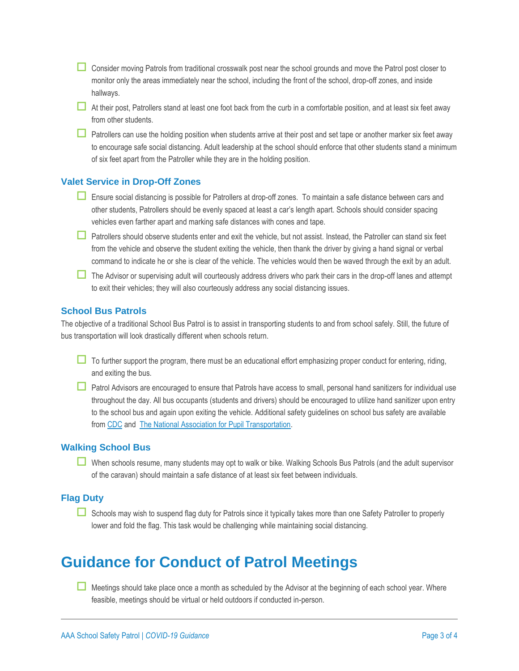- Consider moving Patrols from traditional crosswalk post near the school grounds and move the Patrol post closer to monitor only the areas immediately near the school, including the front of the school, drop-off zones, and inside hallways.
- At their post, Patrollers stand at least one foot back from the curb in a comfortable position, and at least six feet away from other students.
- $\Box$  Patrollers can use the holding position when students arrive at their post and set tape or another marker six feet away to encourage safe social distancing. Adult leadership at the school should enforce that other students stand a minimum of six feet apart from the Patroller while they are in the holding position.

#### **Valet Service in Drop-Off Zones**

- Ensure social distancing is possible for Patrollers at drop-off zones. To maintain a safe distance between cars and other students, Patrollers should be evenly spaced at least a car's length apart. Schools should consider spacing vehicles even farther apart and marking safe distances with cones and tape.
- $\Box$  Patrollers should observe students enter and exit the vehicle, but not assist. Instead, the Patroller can stand six feet from the vehicle and observe the student exiting the vehicle, then thank the driver by giving a hand signal or verbal command to indicate he or she is clear of the vehicle. The vehicles would then be waved through the exit by an adult.
- The Advisor or supervising adult will courteously address drivers who park their cars in the drop-off lanes and attempt to exit their vehicles; they will also courteously address any social distancing issues.

#### **School Bus Patrols**

The objective of a traditional School Bus Patrol is to assist in transporting students to and from school safely. Still, the future of bus transportation will look drastically different when schools return.

- To further support the program, there must be an educational effort emphasizing proper conduct for entering, riding, and exiting the bus.
- Patrol Advisors are encouraged to ensure that Patrols have access to small, personal hand sanitizers for individual use throughout the day. All bus occupants (students and drivers) should be encouraged to utilize hand sanitizer upon entry to the school bus and again upon exiting the vehicle. Additional safety guidelines on school bus safety are available from [CDC](https://www.cdc.gov/coronavirus/2019-ncov/community/organizations/bus-transit-operator.html) and [The National Association for Pupil Transportation.](https://www.napt.org/content.asp?contentid=275)

#### **Walking School Bus**

When schools resume, many students may opt to walk or bike. Walking Schools Bus Patrols (and the adult supervisor of the caravan) should maintain a safe distance of at least six feet between individuals.

#### **Flag Duty**

■ Schools may wish to suspend flag duty for Patrols since it typically takes more than one Safety Patroller to properly lower and fold the flag. This task would be challenging while maintaining social distancing.

## **Guidance for Conduct of Patrol Meetings**

Meetings should take place once a month as scheduled by the Advisor at the beginning of each school year. Where feasible, meetings should be virtual or held outdoors if conducted in-person.